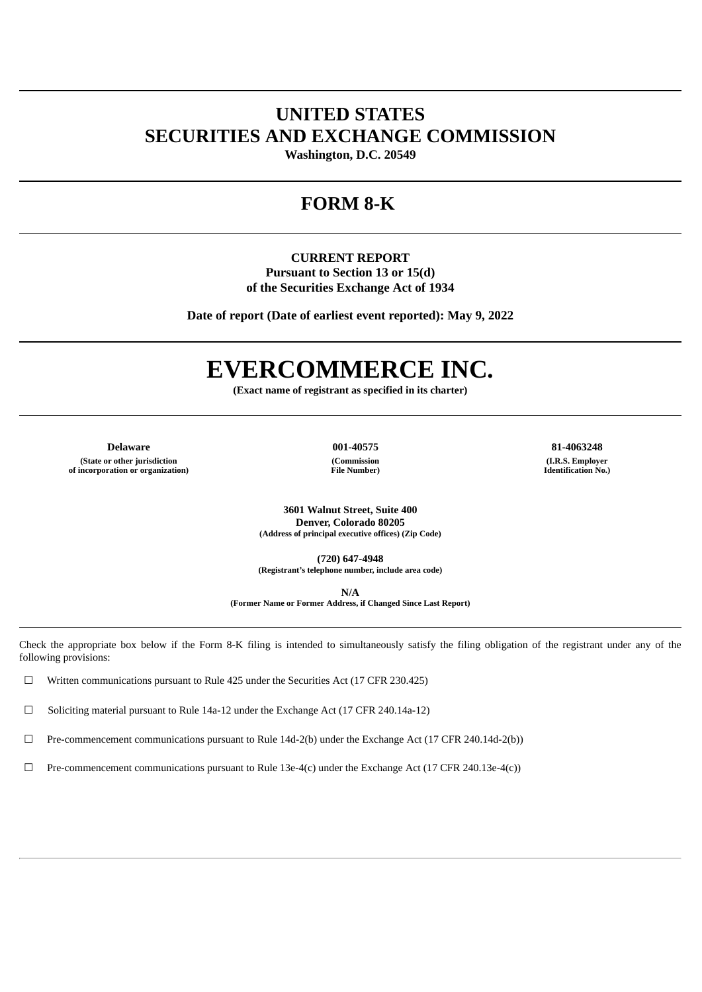# **UNITED STATES SECURITIES AND EXCHANGE COMMISSION**

**Washington, D.C. 20549**

# **FORM 8-K**

**CURRENT REPORT Pursuant to Section 13 or 15(d) of the Securities Exchange Act of 1934**

**Date of report (Date of earliest event reported): May 9, 2022**

# **EVERCOMMERCE INC.**

**(Exact name of registrant as specified in its charter)**

**Delaware 001-40575 81-4063248 (State or other jurisdiction of incorporation or organization)**

**(Commission File Number)**

**(I.R.S. Employer Identification No.)**

**3601 Walnut Street, Suite 400 Denver, Colorado 80205 (Address of principal executive offices) (Zip Code)**

**(720) 647-4948 (Registrant's telephone number, include area code)**

**N/A**

**(Former Name or Former Address, if Changed Since Last Report)**

Check the appropriate box below if the Form 8-K filing is intended to simultaneously satisfy the filing obligation of the registrant under any of the following provisions:

 $\Box$  Written communications pursuant to Rule 425 under the Securities Act (17 CFR 230.425)

 $\Box$  Soliciting material pursuant to Rule 14a-12 under the Exchange Act (17 CFR 240.14a-12)

 $\Box$  Pre-commencement communications pursuant to Rule 14d-2(b) under the Exchange Act (17 CFR 240.14d-2(b))

☐ Pre-commencement communications pursuant to Rule 13e-4(c) under the Exchange Act (17 CFR 240.13e-4(c))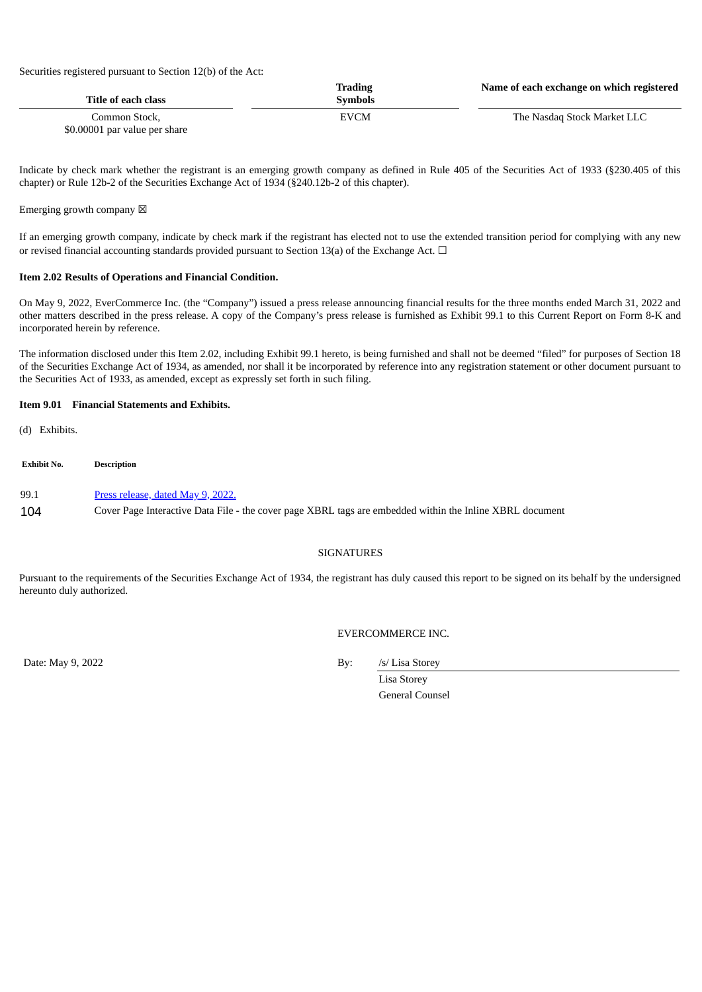Securities registered pursuant to Section 12(b) of the Act:

| Title of each class                            | Trading<br><b>Symbols</b> | Name of each exchange on which registered |
|------------------------------------------------|---------------------------|-------------------------------------------|
| Common Stock.<br>\$0.00001 par value per share | EVCM                      | The Nasdag Stock Market LLC               |

Indicate by check mark whether the registrant is an emerging growth company as defined in Rule 405 of the Securities Act of 1933 (§230.405 of this chapter) or Rule 12b-2 of the Securities Exchange Act of 1934 (§240.12b-2 of this chapter).

## Emerging growth company  $\boxtimes$

If an emerging growth company, indicate by check mark if the registrant has elected not to use the extended transition period for complying with any new or revised financial accounting standards provided pursuant to Section 13(a) of the Exchange Act.  $\Box$ 

#### **Item 2.02 Results of Operations and Financial Condition.**

On May 9, 2022, EverCommerce Inc. (the "Company") issued a press release announcing financial results for the three months ended March 31, 2022 and other matters described in the press release. A copy of the Company's press release is furnished as Exhibit 99.1 to this Current Report on Form 8-K and incorporated herein by reference.

The information disclosed under this Item 2.02, including Exhibit 99.1 hereto, is being furnished and shall not be deemed "filed" for purposes of Section 18 of the Securities Exchange Act of 1934, as amended, nor shall it be incorporated by reference into any registration statement or other document pursuant to the Securities Act of 1933, as amended, except as expressly set forth in such filing.

## **Item 9.01 Financial Statements and Exhibits.**

(d) Exhibits.

**Exhibit No. Description** 99.1 Press [release,](#page-2-0) dated May 9, 2022.

104 Cover Page Interactive Data File - the cover page XBRL tags are embedded within the Inline XBRL document

## **SIGNATURES**

Pursuant to the requirements of the Securities Exchange Act of 1934, the registrant has duly caused this report to be signed on its behalf by the undersigned hereunto duly authorized.

EVERCOMMERCE INC.

Date: May 9, 2022 By: /s/ Lisa Storey

Lisa Storey General Counsel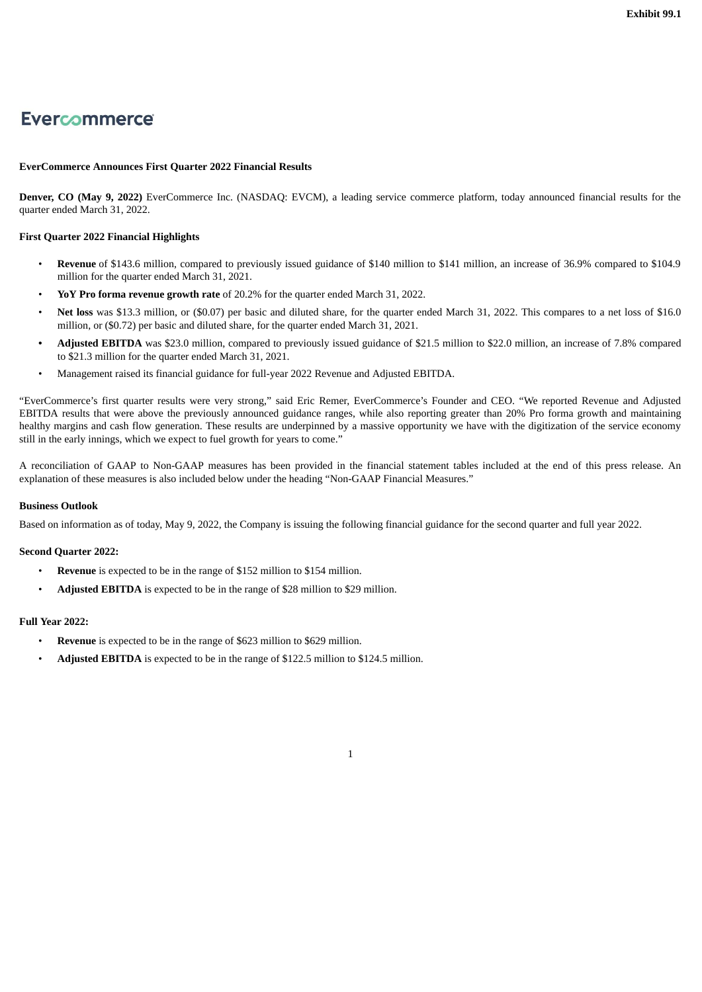# <span id="page-2-0"></span>Evercommerce

# **EverCommerce Announces First Quarter 2022 Financial Results**

**Denver, CO (May 9, 2022)** EverCommerce Inc. (NASDAQ: EVCM), a leading service commerce platform, today announced financial results for the quarter ended March 31, 2022.

#### **First Quarter 2022 Financial Highlights**

- **Revenue** of \$143.6 million, compared to previously issued guidance of \$140 million to \$141 million, an increase of 36.9% compared to \$104.9 million for the quarter ended March 31, 2021.
- **YoY Pro forma revenue growth rate** of 20.2% for the quarter ended March 31, 2022.
- **Net loss** was \$13.3 million, or (\$0.07) per basic and diluted share, for the quarter ended March 31, 2022. This compares to a net loss of \$16.0 million, or (\$0.72) per basic and diluted share, for the quarter ended March 31, 2021.
- **• Adjusted EBITDA** was \$23.0 million, compared to previously issued guidance of \$21.5 million to \$22.0 million, an increase of 7.8% compared to \$21.3 million for the quarter ended March 31, 2021.
- Management raised its financial guidance for full-year 2022 Revenue and Adjusted EBITDA.

"EverCommerce's first quarter results were very strong," said Eric Remer, EverCommerce's Founder and CEO. "We reported Revenue and Adjusted EBITDA results that were above the previously announced guidance ranges, while also reporting greater than 20% Pro forma growth and maintaining healthy margins and cash flow generation. These results are underpinned by a massive opportunity we have with the digitization of the service economy still in the early innings, which we expect to fuel growth for years to come."

A reconciliation of GAAP to Non-GAAP measures has been provided in the financial statement tables included at the end of this press release. An explanation of these measures is also included below under the heading "Non-GAAP Financial Measures."

#### **Business Outlook**

Based on information as of today, May 9, 2022, the Company is issuing the following financial guidance for the second quarter and full year 2022.

#### **Second Quarter 2022:**

- **Revenue** is expected to be in the range of \$152 million to \$154 million.
- **Adjusted EBITDA** is expected to be in the range of \$28 million to \$29 million.

#### **Full Year 2022:**

- **Revenue** is expected to be in the range of \$623 million to \$629 million.
- **Adjusted EBITDA** is expected to be in the range of \$122.5 million to \$124.5 million.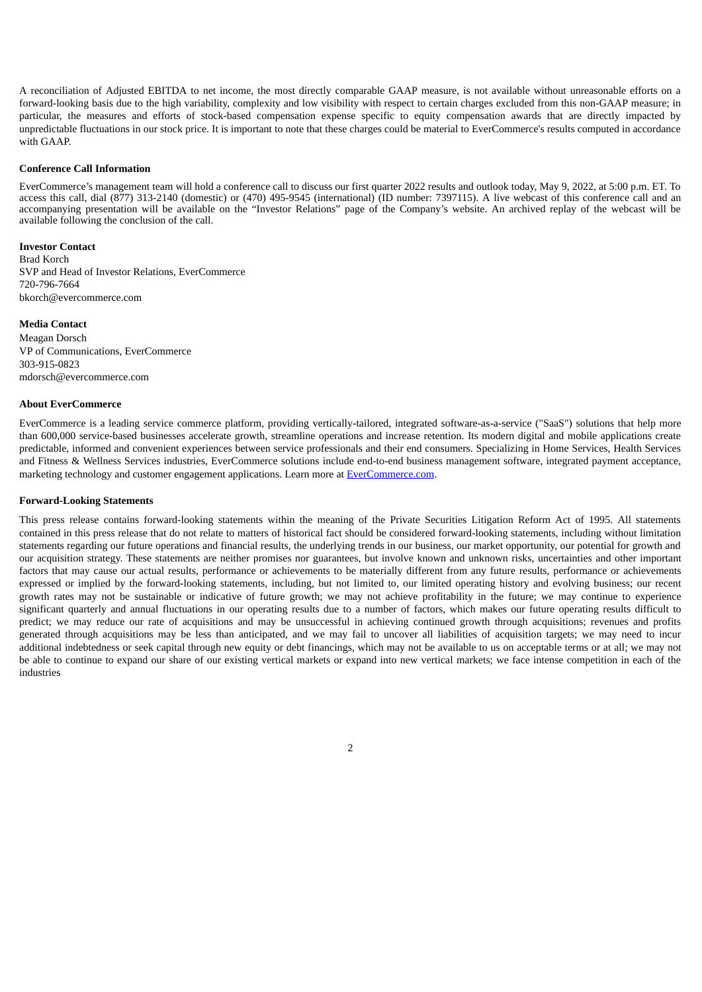A reconciliation of Adjusted EBITDA to net income, the most directly comparable GAAP measure, is not available without unreasonable efforts on a forward-looking basis due to the high variability, complexity and low visibility with respect to certain charges excluded from this non-GAAP measure; in particular, the measures and efforts of stock-based compensation expense specific to equity compensation awards that are directly impacted by unpredictable fluctuations in our stock price. It is important to note that these charges could be material to EverCommerce's results computed in accordance with GAAP.

#### **Conference Call Information**

EverCommerce's management team will hold a conference call to discuss our first quarter 2022 results and outlook today, May 9, 2022, at 5:00 p.m. ET. To access this call, dial (877) 313-2140 (domestic) or (470) 495-9545 (international) (ID number: 7397115). A live webcast of this conference call and an accompanying presentation will be available on the "Investor Relations" page of the Company's website. An archived replay of the webcast will be available following the conclusion of the call.

#### **Investor Contact**

Brad Korch SVP and Head of Investor Relations, EverCommerce 720-796-7664 bkorch@evercommerce.com

#### **Media Contact**

Meagan Dorsch VP of Communications, EverCommerce 303-915-0823 mdorsch@evercommerce.com

#### **About EverCommerce**

EverCommerce is a leading service commerce platform, providing vertically-tailored, integrated software-as-a-service ("SaaS") solutions that help more than 600,000 service-based businesses accelerate growth, streamline operations and increase retention. Its modern digital and mobile applications create predictable, informed and convenient experiences between service professionals and their end consumers. Specializing in Home Services, Health Services and Fitness & Wellness Services industries, EverCommerce solutions include end-to-end business management software, integrated payment acceptance, marketing technology and customer engagement applications. Learn more at EverCommerce.com.

#### **Forward-Looking Statements**

This press release contains forward-looking statements within the meaning of the Private Securities Litigation Reform Act of 1995. All statements contained in this press release that do not relate to matters of historical fact should be considered forward-looking statements, including without limitation statements regarding our future operations and financial results, the underlying trends in our business, our market opportunity, our potential for growth and our acquisition strategy. These statements are neither promises nor guarantees, but involve known and unknown risks, uncertainties and other important factors that may cause our actual results, performance or achievements to be materially different from any future results, performance or achievements expressed or implied by the forward-looking statements, including, but not limited to, our limited operating history and evolving business; our recent growth rates may not be sustainable or indicative of future growth; we may not achieve profitability in the future; we may continue to experience significant quarterly and annual fluctuations in our operating results due to a number of factors, which makes our future operating results difficult to predict; we may reduce our rate of acquisitions and may be unsuccessful in achieving continued growth through acquisitions; revenues and profits generated through acquisitions may be less than anticipated, and we may fail to uncover all liabilities of acquisition targets; we may need to incur additional indebtedness or seek capital through new equity or debt financings, which may not be available to us on acceptable terms or at all; we may not be able to continue to expand our share of our existing vertical markets or expand into new vertical markets; we face intense competition in each of the industries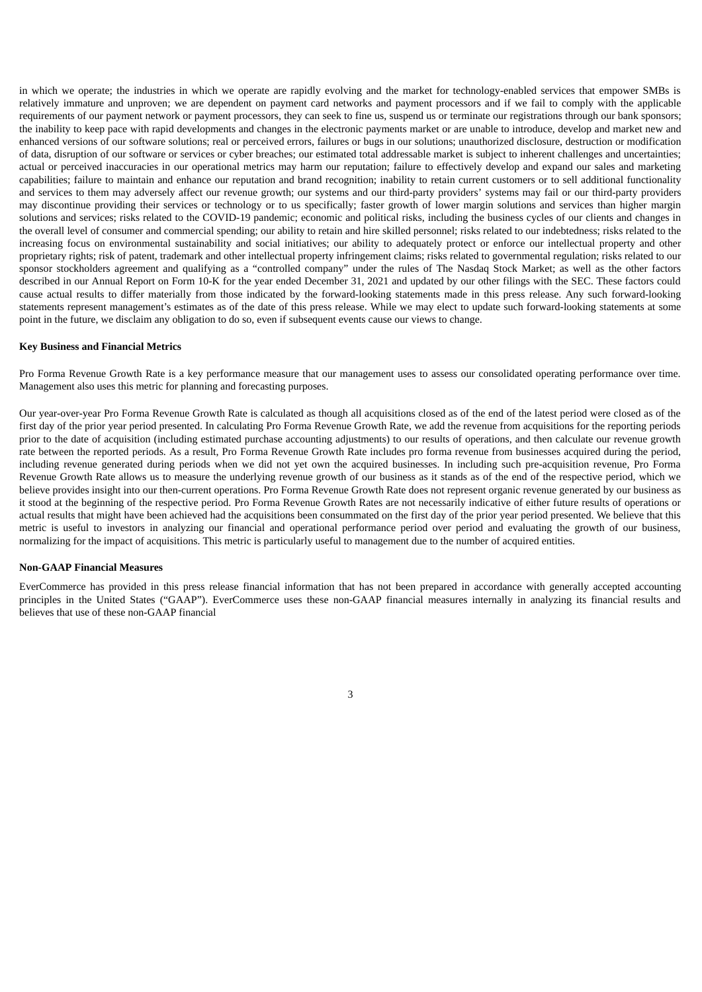in which we operate; the industries in which we operate are rapidly evolving and the market for technology-enabled services that empower SMBs is relatively immature and unproven; we are dependent on payment card networks and payment processors and if we fail to comply with the applicable requirements of our payment network or payment processors, they can seek to fine us, suspend us or terminate our registrations through our bank sponsors; the inability to keep pace with rapid developments and changes in the electronic payments market or are unable to introduce, develop and market new and enhanced versions of our software solutions; real or perceived errors, failures or bugs in our solutions; unauthorized disclosure, destruction or modification of data, disruption of our software or services or cyber breaches; our estimated total addressable market is subject to inherent challenges and uncertainties; actual or perceived inaccuracies in our operational metrics may harm our reputation; failure to effectively develop and expand our sales and marketing capabilities; failure to maintain and enhance our reputation and brand recognition; inability to retain current customers or to sell additional functionality and services to them may adversely affect our revenue growth; our systems and our third-party providers' systems may fail or our third-party providers may discontinue providing their services or technology or to us specifically; faster growth of lower margin solutions and services than higher margin solutions and services; risks related to the COVID-19 pandemic; economic and political risks, including the business cycles of our clients and changes in the overall level of consumer and commercial spending; our ability to retain and hire skilled personnel; risks related to our indebtedness; risks related to the increasing focus on environmental sustainability and social initiatives; our ability to adequately protect or enforce our intellectual property and other proprietary rights; risk of patent, trademark and other intellectual property infringement claims; risks related to governmental regulation; risks related to our sponsor stockholders agreement and qualifying as a "controlled company" under the rules of The Nasdaq Stock Market; as well as the other factors described in our Annual Report on Form 10-K for the year ended December 31, 2021 and updated by our other filings with the SEC. These factors could cause actual results to differ materially from those indicated by the forward-looking statements made in this press release. Any such forward-looking statements represent management's estimates as of the date of this press release. While we may elect to update such forward-looking statements at some point in the future, we disclaim any obligation to do so, even if subsequent events cause our views to change.

#### **Key Business and Financial Metrics**

Pro Forma Revenue Growth Rate is a key performance measure that our management uses to assess our consolidated operating performance over time. Management also uses this metric for planning and forecasting purposes.

Our year-over-year Pro Forma Revenue Growth Rate is calculated as though all acquisitions closed as of the end of the latest period were closed as of the first day of the prior year period presented. In calculating Pro Forma Revenue Growth Rate, we add the revenue from acquisitions for the reporting periods prior to the date of acquisition (including estimated purchase accounting adjustments) to our results of operations, and then calculate our revenue growth rate between the reported periods. As a result, Pro Forma Revenue Growth Rate includes pro forma revenue from businesses acquired during the period, including revenue generated during periods when we did not yet own the acquired businesses. In including such pre-acquisition revenue, Pro Forma Revenue Growth Rate allows us to measure the underlying revenue growth of our business as it stands as of the end of the respective period, which we believe provides insight into our then-current operations. Pro Forma Revenue Growth Rate does not represent organic revenue generated by our business as it stood at the beginning of the respective period. Pro Forma Revenue Growth Rates are not necessarily indicative of either future results of operations or actual results that might have been achieved had the acquisitions been consummated on the first day of the prior year period presented. We believe that this metric is useful to investors in analyzing our financial and operational performance period over period and evaluating the growth of our business, normalizing for the impact of acquisitions. This metric is particularly useful to management due to the number of acquired entities.

#### **Non-GAAP Financial Measures**

EverCommerce has provided in this press release financial information that has not been prepared in accordance with generally accepted accounting principles in the United States ("GAAP"). EverCommerce uses these non-GAAP financial measures internally in analyzing its financial results and believes that use of these non-GAAP financial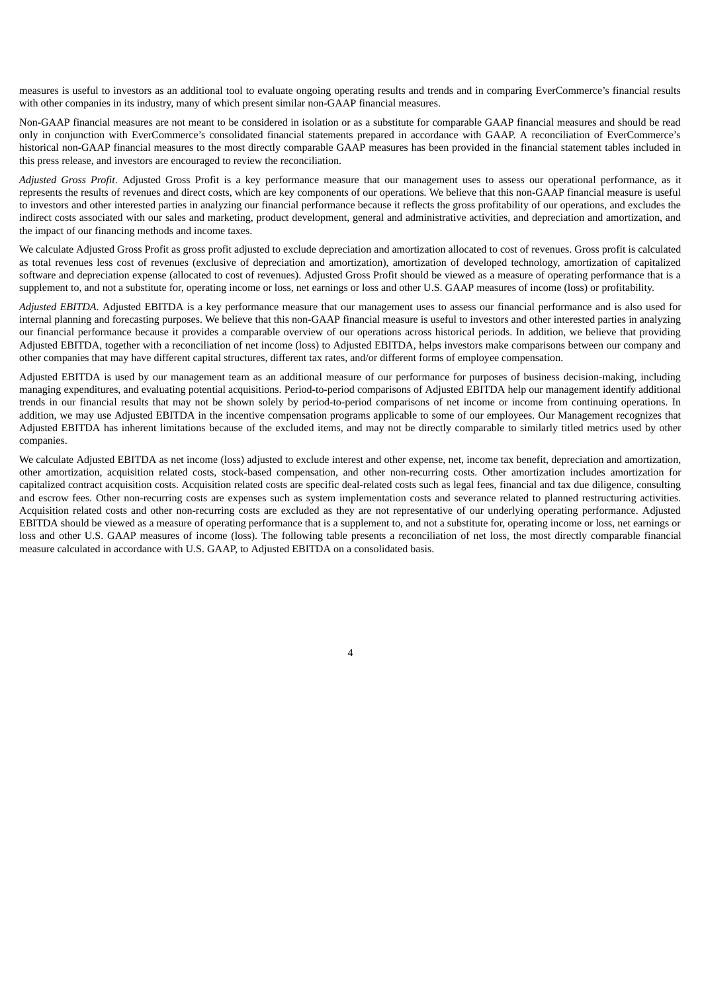measures is useful to investors as an additional tool to evaluate ongoing operating results and trends and in comparing EverCommerce's financial results with other companies in its industry, many of which present similar non-GAAP financial measures.

Non-GAAP financial measures are not meant to be considered in isolation or as a substitute for comparable GAAP financial measures and should be read only in conjunction with EverCommerce's consolidated financial statements prepared in accordance with GAAP. A reconciliation of EverCommerce's historical non-GAAP financial measures to the most directly comparable GAAP measures has been provided in the financial statement tables included in this press release, and investors are encouraged to review the reconciliation.

*Adjusted Gross Profit*. Adjusted Gross Profit is a key performance measure that our management uses to assess our operational performance, as it represents the results of revenues and direct costs, which are key components of our operations. We believe that this non-GAAP financial measure is useful to investors and other interested parties in analyzing our financial performance because it reflects the gross profitability of our operations, and excludes the indirect costs associated with our sales and marketing, product development, general and administrative activities, and depreciation and amortization, and the impact of our financing methods and income taxes.

We calculate Adjusted Gross Profit as gross profit adjusted to exclude depreciation and amortization allocated to cost of revenues. Gross profit is calculated as total revenues less cost of revenues (exclusive of depreciation and amortization), amortization of developed technology, amortization of capitalized software and depreciation expense (allocated to cost of revenues). Adjusted Gross Profit should be viewed as a measure of operating performance that is a supplement to, and not a substitute for, operating income or loss, net earnings or loss and other U.S. GAAP measures of income (loss) or profitability.

*Adjusted EBITDA*. Adjusted EBITDA is a key performance measure that our management uses to assess our financial performance and is also used for internal planning and forecasting purposes. We believe that this non-GAAP financial measure is useful to investors and other interested parties in analyzing our financial performance because it provides a comparable overview of our operations across historical periods. In addition, we believe that providing Adjusted EBITDA, together with a reconciliation of net income (loss) to Adjusted EBITDA, helps investors make comparisons between our company and other companies that may have different capital structures, different tax rates, and/or different forms of employee compensation.

Adjusted EBITDA is used by our management team as an additional measure of our performance for purposes of business decision-making, including managing expenditures, and evaluating potential acquisitions. Period-to-period comparisons of Adjusted EBITDA help our management identify additional trends in our financial results that may not be shown solely by period-to-period comparisons of net income or income from continuing operations. In addition, we may use Adjusted EBITDA in the incentive compensation programs applicable to some of our employees. Our Management recognizes that Adjusted EBITDA has inherent limitations because of the excluded items, and may not be directly comparable to similarly titled metrics used by other companies.

We calculate Adjusted EBITDA as net income (loss) adjusted to exclude interest and other expense, net, income tax benefit, depreciation and amortization, other amortization, acquisition related costs, stock-based compensation, and other non-recurring costs. Other amortization includes amortization for capitalized contract acquisition costs. Acquisition related costs are specific deal-related costs such as legal fees, financial and tax due diligence, consulting and escrow fees. Other non-recurring costs are expenses such as system implementation costs and severance related to planned restructuring activities. Acquisition related costs and other non-recurring costs are excluded as they are not representative of our underlying operating performance. Adjusted EBITDA should be viewed as a measure of operating performance that is a supplement to, and not a substitute for, operating income or loss, net earnings or loss and other U.S. GAAP measures of income (loss). The following table presents a reconciliation of net loss, the most directly comparable financial measure calculated in accordance with U.S. GAAP, to Adjusted EBITDA on a consolidated basis.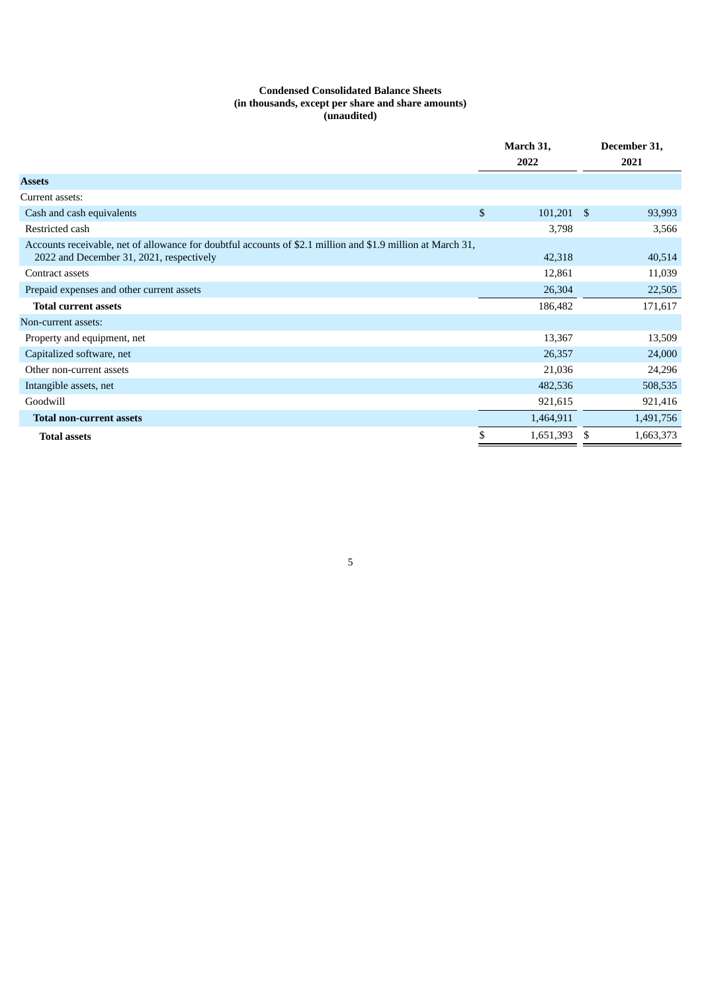# **Condensed Consolidated Balance Sheets (in thousands, except per share and share amounts) (unaudited)**

|                                                                                                                                                         | March 31,          |   | December 31, |
|---------------------------------------------------------------------------------------------------------------------------------------------------------|--------------------|---|--------------|
|                                                                                                                                                         | 2022               |   | 2021         |
| <b>Assets</b>                                                                                                                                           |                    |   |              |
| Current assets:                                                                                                                                         |                    |   |              |
| Cash and cash equivalents                                                                                                                               | \$<br>$101,201$ \$ |   | 93,993       |
| Restricted cash                                                                                                                                         | 3,798              |   | 3,566        |
| Accounts receivable, net of allowance for doubtful accounts of \$2.1 million and \$1.9 million at March 31,<br>2022 and December 31, 2021, respectively | 42,318             |   | 40,514       |
| Contract assets                                                                                                                                         | 12,861             |   | 11,039       |
| Prepaid expenses and other current assets                                                                                                               | 26,304             |   | 22,505       |
| <b>Total current assets</b>                                                                                                                             | 186,482            |   | 171,617      |
| Non-current assets:                                                                                                                                     |                    |   |              |
| Property and equipment, net                                                                                                                             | 13,367             |   | 13,509       |
| Capitalized software, net                                                                                                                               | 26,357             |   | 24,000       |
| Other non-current assets                                                                                                                                | 21,036             |   | 24,296       |
| Intangible assets, net                                                                                                                                  | 482,536            |   | 508,535      |
| Goodwill                                                                                                                                                | 921,615            |   | 921,416      |
| <b>Total non-current assets</b>                                                                                                                         | 1,464,911          |   | 1,491,756    |
| <b>Total assets</b>                                                                                                                                     | \$<br>1,651,393    | S | 1,663,373    |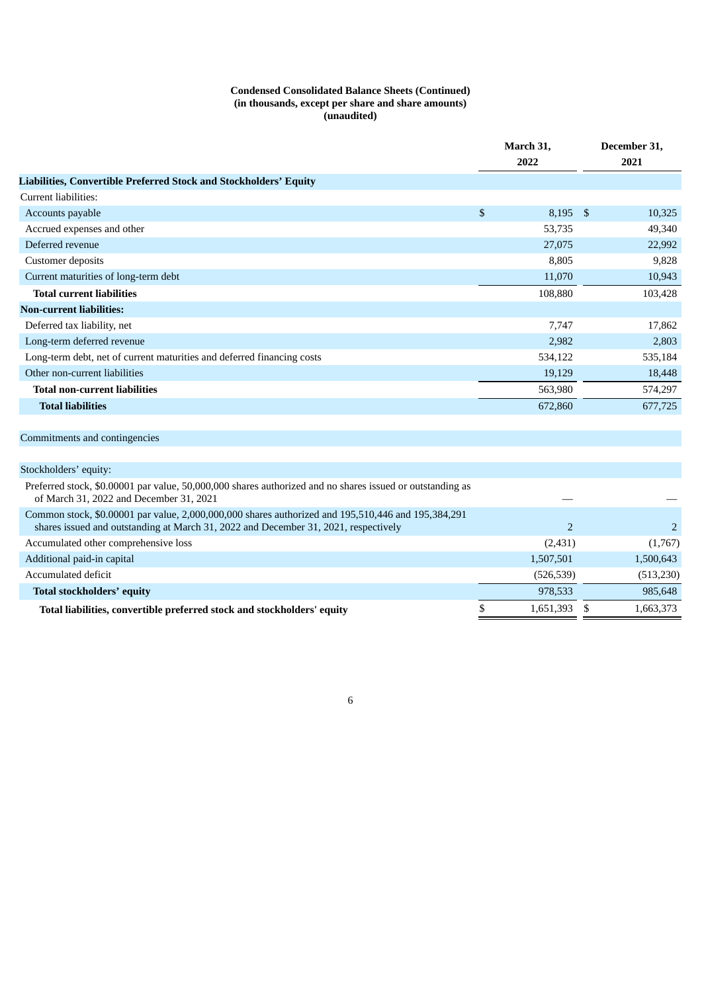#### **Condensed Consolidated Balance Sheets (Continued) (in thousands, except per share and share amounts) (unaudited)**

|                                                                        |      | March 31,<br>2022 |  | December 31, |
|------------------------------------------------------------------------|------|-------------------|--|--------------|
|                                                                        |      |                   |  | 2021         |
| Liabilities, Convertible Preferred Stock and Stockholders' Equity      |      |                   |  |              |
| Current liabilities:                                                   |      |                   |  |              |
| Accounts payable                                                       | $\$$ | $8,195$ \$        |  | 10,325       |
| Accrued expenses and other                                             |      | 53,735            |  | 49,340       |
| Deferred revenue                                                       |      | 27,075            |  | 22,992       |
| Customer deposits                                                      |      | 8,805             |  | 9,828        |
| Current maturities of long-term debt                                   |      | 11,070            |  | 10,943       |
| <b>Total current liabilities</b>                                       |      | 108,880           |  | 103,428      |
| <b>Non-current liabilities:</b>                                        |      |                   |  |              |
| Deferred tax liability, net                                            |      | 7,747             |  | 17,862       |
| Long-term deferred revenue                                             |      | 2,982             |  | 2,803        |
| Long-term debt, net of current maturities and deferred financing costs |      | 534,122           |  | 535,184      |
| Other non-current liabilities                                          |      | 19,129            |  | 18,448       |
| <b>Total non-current liabilities</b>                                   |      | 563,980           |  | 574,297      |
| <b>Total liabilities</b>                                               |      | 672,860           |  | 677,725      |
|                                                                        |      |                   |  |              |
| Commitments and contingencies                                          |      |                   |  |              |
|                                                                        |      |                   |  |              |
| Stockholders' equity:                                                  |      |                   |  |              |

| Preferred stock, \$0.00001 par value, 50,000,000 shares authorized and no shares issued or outstanding as<br>of March 31, 2022 and December 31, 2021                                      |              |           |
|-------------------------------------------------------------------------------------------------------------------------------------------------------------------------------------------|--------------|-----------|
| Common stock, \$0.00001 par value, 2,000,000,000 shares authorized and 195,510,446 and 195,384,291<br>shares issued and outstanding at March 31, 2022 and December 31, 2021, respectively |              |           |
| Accumulated other comprehensive loss                                                                                                                                                      | (2,431)      | (1,767)   |
| Additional paid-in capital                                                                                                                                                                | 1,507,501    | 1,500,643 |
| Accumulated deficit                                                                                                                                                                       | (526, 539)   | (513,230) |
| Total stockholders' equity                                                                                                                                                                | 978,533      | 985,648   |
| Total liabilities, convertible preferred stock and stockholders' equity                                                                                                                   | 1,651,393 \$ | 1,663,373 |
|                                                                                                                                                                                           |              |           |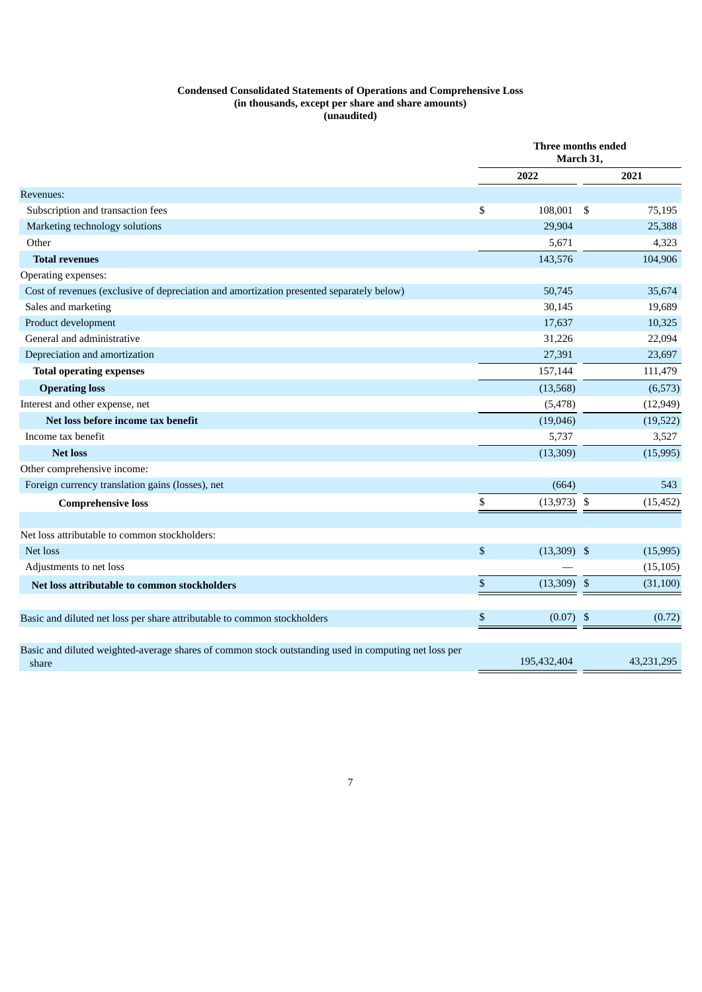#### **Condensed Consolidated Statements of Operations and Comprehensive Loss (in thousands, except per share and share amounts) (unaudited)**

|                                                                                                               | Three months ended<br>March 31, |               |  |            |
|---------------------------------------------------------------------------------------------------------------|---------------------------------|---------------|--|------------|
|                                                                                                               |                                 | 2022          |  | 2021       |
| Revenues:                                                                                                     |                                 |               |  |            |
| Subscription and transaction fees                                                                             | \$                              | 108,001 \$    |  | 75,195     |
| Marketing technology solutions                                                                                |                                 | 29,904        |  | 25,388     |
| Other                                                                                                         |                                 | 5,671         |  | 4,323      |
| <b>Total revenues</b>                                                                                         |                                 | 143,576       |  | 104,906    |
| Operating expenses:                                                                                           |                                 |               |  |            |
| Cost of revenues (exclusive of depreciation and amortization presented separately below)                      |                                 | 50,745        |  | 35,674     |
| Sales and marketing                                                                                           |                                 | 30,145        |  | 19,689     |
| Product development                                                                                           |                                 | 17,637        |  | 10,325     |
| General and administrative                                                                                    |                                 | 31,226        |  | 22,094     |
| Depreciation and amortization                                                                                 |                                 | 27,391        |  | 23,697     |
| <b>Total operating expenses</b>                                                                               |                                 | 157,144       |  | 111,479    |
| <b>Operating loss</b>                                                                                         |                                 | (13, 568)     |  | (6, 573)   |
| Interest and other expense, net                                                                               |                                 | (5, 478)      |  | (12, 949)  |
| Net loss before income tax benefit                                                                            |                                 | (19,046)      |  | (19, 522)  |
| Income tax benefit                                                                                            |                                 | 5,737         |  | 3,527      |
| <b>Net loss</b>                                                                                               |                                 | (13, 309)     |  | (15,995)   |
| Other comprehensive income:                                                                                   |                                 |               |  |            |
| Foreign currency translation gains (losses), net                                                              |                                 | (664)         |  | 543        |
| <b>Comprehensive loss</b>                                                                                     | \$                              | $(13,973)$ \$ |  | (15, 452)  |
|                                                                                                               |                                 |               |  |            |
| Net loss attributable to common stockholders:                                                                 |                                 |               |  |            |
| Net loss                                                                                                      | \$                              | $(13,309)$ \$ |  | (15, 995)  |
| Adjustments to net loss                                                                                       |                                 |               |  | (15, 105)  |
| Net loss attributable to common stockholders                                                                  | \$                              | $(13,309)$ \$ |  | (31, 100)  |
|                                                                                                               |                                 |               |  |            |
| Basic and diluted net loss per share attributable to common stockholders                                      | \$                              | $(0.07)$ \$   |  | (0.72)     |
|                                                                                                               |                                 |               |  |            |
| Basic and diluted weighted-average shares of common stock outstanding used in computing net loss per<br>share |                                 | 195,432,404   |  | 43,231,295 |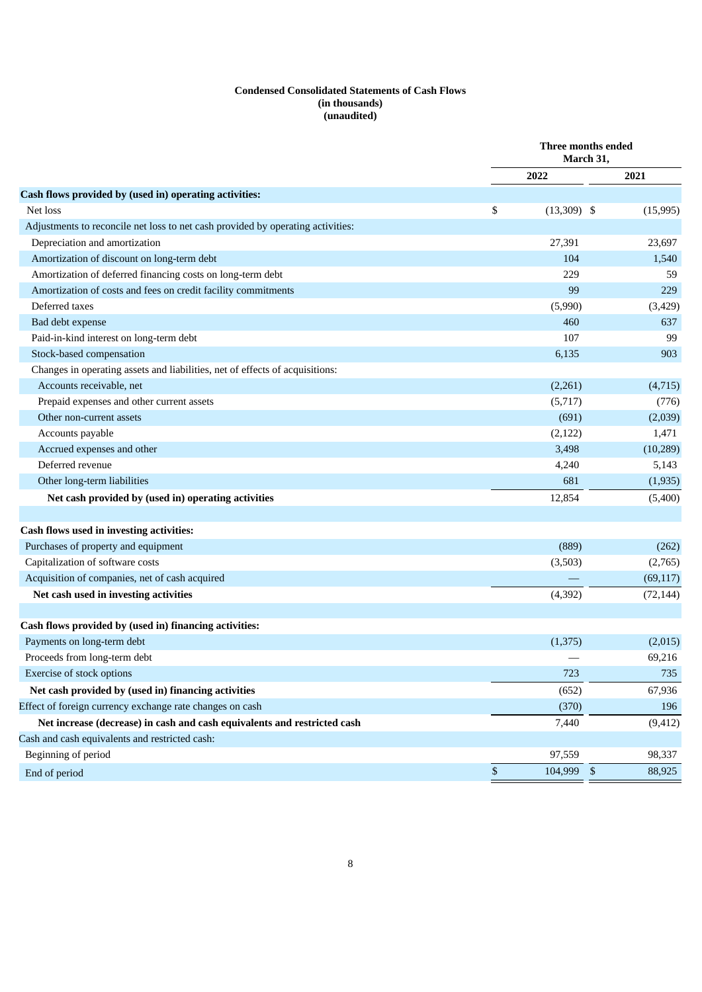## **Condensed Consolidated Statements of Cash Flows (in thousands) (unaudited)**

| 2022<br>2021<br>\$<br>Net loss<br>$(13,309)$ \$<br>(15, 995)<br>Adjustments to reconcile net loss to net cash provided by operating activities:<br>Depreciation and amortization<br>27,391<br>23,697<br>Amortization of discount on long-term debt<br>104<br>1,540<br>Amortization of deferred financing costs on long-term debt<br>59<br>229<br>Amortization of costs and fees on credit facility commitments<br>99<br>229<br>Deferred taxes<br>(5,990)<br>(3, 429)<br>460<br>637<br>Bad debt expense<br>Paid-in-kind interest on long-term debt<br>107<br>99<br>Stock-based compensation<br>6,135<br>903<br>Changes in operating assets and liabilities, net of effects of acquisitions:<br>Accounts receivable, net<br>(2,261)<br>(4,715)<br>Prepaid expenses and other current assets<br>(5,717)<br>(776)<br>Other non-current assets<br>(691)<br>(2,039)<br>Accounts payable<br>(2, 122)<br>1,471<br>Accrued expenses and other<br>3,498<br>(10, 289)<br>Deferred revenue<br>4,240<br>5,143<br>681<br>Other long-term liabilities<br>(1,935)<br>12,854<br>Net cash provided by (used in) operating activities<br>(5,400)<br>Purchases of property and equipment<br>(889)<br>(262)<br>Capitalization of software costs<br>(3,503)<br>(2,765)<br>Acquisition of companies, net of cash acquired<br>(69, 117)<br>Net cash used in investing activities<br>(4, 392)<br>(72, 144)<br>Payments on long-term debt<br>(1,375)<br>(2,015)<br>Proceeds from long-term debt<br>69,216<br>Exercise of stock options<br>723<br>735<br>Net cash provided by (used in) financing activities<br>(652)<br>67,936 |                                                          | Three months ended<br>March 31, |  |  |
|------------------------------------------------------------------------------------------------------------------------------------------------------------------------------------------------------------------------------------------------------------------------------------------------------------------------------------------------------------------------------------------------------------------------------------------------------------------------------------------------------------------------------------------------------------------------------------------------------------------------------------------------------------------------------------------------------------------------------------------------------------------------------------------------------------------------------------------------------------------------------------------------------------------------------------------------------------------------------------------------------------------------------------------------------------------------------------------------------------------------------------------------------------------------------------------------------------------------------------------------------------------------------------------------------------------------------------------------------------------------------------------------------------------------------------------------------------------------------------------------------------------------------------------------------------------------------------------------------|----------------------------------------------------------|---------------------------------|--|--|
|                                                                                                                                                                                                                                                                                                                                                                                                                                                                                                                                                                                                                                                                                                                                                                                                                                                                                                                                                                                                                                                                                                                                                                                                                                                                                                                                                                                                                                                                                                                                                                                                      |                                                          |                                 |  |  |
|                                                                                                                                                                                                                                                                                                                                                                                                                                                                                                                                                                                                                                                                                                                                                                                                                                                                                                                                                                                                                                                                                                                                                                                                                                                                                                                                                                                                                                                                                                                                                                                                      | Cash flows provided by (used in) operating activities:   |                                 |  |  |
|                                                                                                                                                                                                                                                                                                                                                                                                                                                                                                                                                                                                                                                                                                                                                                                                                                                                                                                                                                                                                                                                                                                                                                                                                                                                                                                                                                                                                                                                                                                                                                                                      |                                                          |                                 |  |  |
|                                                                                                                                                                                                                                                                                                                                                                                                                                                                                                                                                                                                                                                                                                                                                                                                                                                                                                                                                                                                                                                                                                                                                                                                                                                                                                                                                                                                                                                                                                                                                                                                      |                                                          |                                 |  |  |
|                                                                                                                                                                                                                                                                                                                                                                                                                                                                                                                                                                                                                                                                                                                                                                                                                                                                                                                                                                                                                                                                                                                                                                                                                                                                                                                                                                                                                                                                                                                                                                                                      |                                                          |                                 |  |  |
|                                                                                                                                                                                                                                                                                                                                                                                                                                                                                                                                                                                                                                                                                                                                                                                                                                                                                                                                                                                                                                                                                                                                                                                                                                                                                                                                                                                                                                                                                                                                                                                                      |                                                          |                                 |  |  |
|                                                                                                                                                                                                                                                                                                                                                                                                                                                                                                                                                                                                                                                                                                                                                                                                                                                                                                                                                                                                                                                                                                                                                                                                                                                                                                                                                                                                                                                                                                                                                                                                      |                                                          |                                 |  |  |
|                                                                                                                                                                                                                                                                                                                                                                                                                                                                                                                                                                                                                                                                                                                                                                                                                                                                                                                                                                                                                                                                                                                                                                                                                                                                                                                                                                                                                                                                                                                                                                                                      |                                                          |                                 |  |  |
|                                                                                                                                                                                                                                                                                                                                                                                                                                                                                                                                                                                                                                                                                                                                                                                                                                                                                                                                                                                                                                                                                                                                                                                                                                                                                                                                                                                                                                                                                                                                                                                                      |                                                          |                                 |  |  |
|                                                                                                                                                                                                                                                                                                                                                                                                                                                                                                                                                                                                                                                                                                                                                                                                                                                                                                                                                                                                                                                                                                                                                                                                                                                                                                                                                                                                                                                                                                                                                                                                      |                                                          |                                 |  |  |
|                                                                                                                                                                                                                                                                                                                                                                                                                                                                                                                                                                                                                                                                                                                                                                                                                                                                                                                                                                                                                                                                                                                                                                                                                                                                                                                                                                                                                                                                                                                                                                                                      |                                                          |                                 |  |  |
|                                                                                                                                                                                                                                                                                                                                                                                                                                                                                                                                                                                                                                                                                                                                                                                                                                                                                                                                                                                                                                                                                                                                                                                                                                                                                                                                                                                                                                                                                                                                                                                                      |                                                          |                                 |  |  |
|                                                                                                                                                                                                                                                                                                                                                                                                                                                                                                                                                                                                                                                                                                                                                                                                                                                                                                                                                                                                                                                                                                                                                                                                                                                                                                                                                                                                                                                                                                                                                                                                      |                                                          |                                 |  |  |
|                                                                                                                                                                                                                                                                                                                                                                                                                                                                                                                                                                                                                                                                                                                                                                                                                                                                                                                                                                                                                                                                                                                                                                                                                                                                                                                                                                                                                                                                                                                                                                                                      |                                                          |                                 |  |  |
|                                                                                                                                                                                                                                                                                                                                                                                                                                                                                                                                                                                                                                                                                                                                                                                                                                                                                                                                                                                                                                                                                                                                                                                                                                                                                                                                                                                                                                                                                                                                                                                                      |                                                          |                                 |  |  |
|                                                                                                                                                                                                                                                                                                                                                                                                                                                                                                                                                                                                                                                                                                                                                                                                                                                                                                                                                                                                                                                                                                                                                                                                                                                                                                                                                                                                                                                                                                                                                                                                      |                                                          |                                 |  |  |
|                                                                                                                                                                                                                                                                                                                                                                                                                                                                                                                                                                                                                                                                                                                                                                                                                                                                                                                                                                                                                                                                                                                                                                                                                                                                                                                                                                                                                                                                                                                                                                                                      |                                                          |                                 |  |  |
|                                                                                                                                                                                                                                                                                                                                                                                                                                                                                                                                                                                                                                                                                                                                                                                                                                                                                                                                                                                                                                                                                                                                                                                                                                                                                                                                                                                                                                                                                                                                                                                                      |                                                          |                                 |  |  |
|                                                                                                                                                                                                                                                                                                                                                                                                                                                                                                                                                                                                                                                                                                                                                                                                                                                                                                                                                                                                                                                                                                                                                                                                                                                                                                                                                                                                                                                                                                                                                                                                      |                                                          |                                 |  |  |
|                                                                                                                                                                                                                                                                                                                                                                                                                                                                                                                                                                                                                                                                                                                                                                                                                                                                                                                                                                                                                                                                                                                                                                                                                                                                                                                                                                                                                                                                                                                                                                                                      |                                                          |                                 |  |  |
|                                                                                                                                                                                                                                                                                                                                                                                                                                                                                                                                                                                                                                                                                                                                                                                                                                                                                                                                                                                                                                                                                                                                                                                                                                                                                                                                                                                                                                                                                                                                                                                                      |                                                          |                                 |  |  |
|                                                                                                                                                                                                                                                                                                                                                                                                                                                                                                                                                                                                                                                                                                                                                                                                                                                                                                                                                                                                                                                                                                                                                                                                                                                                                                                                                                                                                                                                                                                                                                                                      |                                                          |                                 |  |  |
|                                                                                                                                                                                                                                                                                                                                                                                                                                                                                                                                                                                                                                                                                                                                                                                                                                                                                                                                                                                                                                                                                                                                                                                                                                                                                                                                                                                                                                                                                                                                                                                                      | Cash flows used in investing activities:                 |                                 |  |  |
|                                                                                                                                                                                                                                                                                                                                                                                                                                                                                                                                                                                                                                                                                                                                                                                                                                                                                                                                                                                                                                                                                                                                                                                                                                                                                                                                                                                                                                                                                                                                                                                                      |                                                          |                                 |  |  |
|                                                                                                                                                                                                                                                                                                                                                                                                                                                                                                                                                                                                                                                                                                                                                                                                                                                                                                                                                                                                                                                                                                                                                                                                                                                                                                                                                                                                                                                                                                                                                                                                      |                                                          |                                 |  |  |
|                                                                                                                                                                                                                                                                                                                                                                                                                                                                                                                                                                                                                                                                                                                                                                                                                                                                                                                                                                                                                                                                                                                                                                                                                                                                                                                                                                                                                                                                                                                                                                                                      |                                                          |                                 |  |  |
|                                                                                                                                                                                                                                                                                                                                                                                                                                                                                                                                                                                                                                                                                                                                                                                                                                                                                                                                                                                                                                                                                                                                                                                                                                                                                                                                                                                                                                                                                                                                                                                                      |                                                          |                                 |  |  |
|                                                                                                                                                                                                                                                                                                                                                                                                                                                                                                                                                                                                                                                                                                                                                                                                                                                                                                                                                                                                                                                                                                                                                                                                                                                                                                                                                                                                                                                                                                                                                                                                      |                                                          |                                 |  |  |
|                                                                                                                                                                                                                                                                                                                                                                                                                                                                                                                                                                                                                                                                                                                                                                                                                                                                                                                                                                                                                                                                                                                                                                                                                                                                                                                                                                                                                                                                                                                                                                                                      | Cash flows provided by (used in) financing activities:   |                                 |  |  |
|                                                                                                                                                                                                                                                                                                                                                                                                                                                                                                                                                                                                                                                                                                                                                                                                                                                                                                                                                                                                                                                                                                                                                                                                                                                                                                                                                                                                                                                                                                                                                                                                      |                                                          |                                 |  |  |
|                                                                                                                                                                                                                                                                                                                                                                                                                                                                                                                                                                                                                                                                                                                                                                                                                                                                                                                                                                                                                                                                                                                                                                                                                                                                                                                                                                                                                                                                                                                                                                                                      |                                                          |                                 |  |  |
|                                                                                                                                                                                                                                                                                                                                                                                                                                                                                                                                                                                                                                                                                                                                                                                                                                                                                                                                                                                                                                                                                                                                                                                                                                                                                                                                                                                                                                                                                                                                                                                                      |                                                          |                                 |  |  |
|                                                                                                                                                                                                                                                                                                                                                                                                                                                                                                                                                                                                                                                                                                                                                                                                                                                                                                                                                                                                                                                                                                                                                                                                                                                                                                                                                                                                                                                                                                                                                                                                      |                                                          |                                 |  |  |
| (370)<br>196                                                                                                                                                                                                                                                                                                                                                                                                                                                                                                                                                                                                                                                                                                                                                                                                                                                                                                                                                                                                                                                                                                                                                                                                                                                                                                                                                                                                                                                                                                                                                                                         | Effect of foreign currency exchange rate changes on cash |                                 |  |  |
| Net increase (decrease) in cash and cash equivalents and restricted cash<br>7,440<br>(9, 412)                                                                                                                                                                                                                                                                                                                                                                                                                                                                                                                                                                                                                                                                                                                                                                                                                                                                                                                                                                                                                                                                                                                                                                                                                                                                                                                                                                                                                                                                                                        |                                                          |                                 |  |  |
|                                                                                                                                                                                                                                                                                                                                                                                                                                                                                                                                                                                                                                                                                                                                                                                                                                                                                                                                                                                                                                                                                                                                                                                                                                                                                                                                                                                                                                                                                                                                                                                                      | Cash and cash equivalents and restricted cash:           |                                 |  |  |
| Beginning of period<br>97,559<br>98,337                                                                                                                                                                                                                                                                                                                                                                                                                                                                                                                                                                                                                                                                                                                                                                                                                                                                                                                                                                                                                                                                                                                                                                                                                                                                                                                                                                                                                                                                                                                                                              |                                                          |                                 |  |  |
| \$<br>104,999 \$<br>88,925<br>End of period                                                                                                                                                                                                                                                                                                                                                                                                                                                                                                                                                                                                                                                                                                                                                                                                                                                                                                                                                                                                                                                                                                                                                                                                                                                                                                                                                                                                                                                                                                                                                          |                                                          |                                 |  |  |